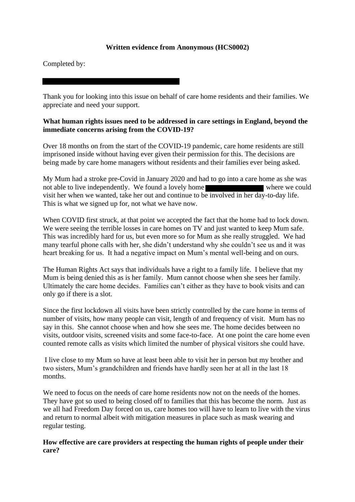# **Written evidence from Anonymous (HCS0002)**

Completed by:

Thank you for looking into this issue on behalf of care home residents and their families. We appreciate and need your support.

### **What human rights issues need to be addressed in care settings in England, beyond the immediate concerns arising from the COVID-19?**

Over 18 months on from the start of the COVID-19 pandemic, care home residents are still imprisoned inside without having ever given their permission for this. The decisions are being made by care home managers without residents and their families ever being asked.

My Mum had a stroke pre-Covid in January 2020 and had to go into a care home as she was not able to live independently. We found a lovely home visit her when we wanted, take her out and continue to be involved in her day-to-day life. This is what we signed up for, not what we have now.

When COVID first struck, at that point we accepted the fact that the home had to lock down. We were seeing the terrible losses in care homes on TV and just wanted to keep Mum safe. This was incredibly hard for us, but even more so for Mum as she really struggled. We had many tearful phone calls with her, she didn't understand why she couldn't see us and it was heart breaking for us. It had a negative impact on Mum's mental well-being and on ours.

The Human Rights Act says that individuals have a right to a family life. I believe that my Mum is being denied this as is her family. Mum cannot choose when she sees her family. Ultimately the care home decides. Families can't either as they have to book visits and can only go if there is a slot.

Since the first lockdown all visits have been strictly controlled by the care home in terms of number of visits, how many people can visit, length of and frequency of visit. Mum has no say in this. She cannot choose when and how she sees me. The home decides between no visits, outdoor visits, screened visits and some face-to-face. At one point the care home even counted remote calls as visits which limited the number of physical visitors she could have.

I live close to my Mum so have at least been able to visit her in person but my brother and two sisters, Mum's grandchildren and friends have hardly seen her at all in the last 18 months.

We need to focus on the needs of care home residents now not on the needs of the homes. They have got so used to being closed off to families that this has become the norm. Just as we all had Freedom Day forced on us, care homes too will have to learn to live with the virus and return to normal albeit with mitigation measures in place such as mask wearing and regular testing.

# **How effective are care providers at respecting the human rights of people under their care?**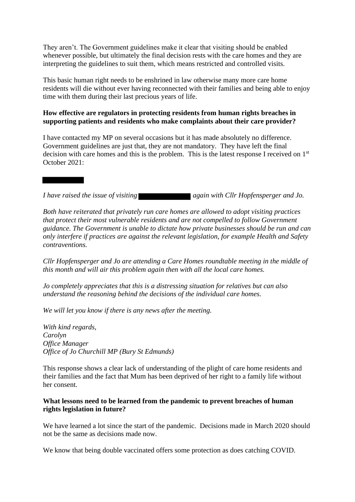They aren't. The Government guidelines make it clear that visiting should be enabled whenever possible, but ultimately the final decision rests with the care homes and they are interpreting the guidelines to suit them, which means restricted and controlled visits.

This basic human right needs to be enshrined in law otherwise many more care home residents will die without ever having reconnected with their families and being able to enjoy time with them during their last precious years of life.

# **How effective are regulators in protecting residents from human rights breaches in supporting patients and residents who make complaints about their care provider?**

I have contacted my MP on several occasions but it has made absolutely no difference. Government guidelines are just that, they are not mandatory. They have left the final decision with care homes and this is the problem. This is the latest response I received on 1<sup>st</sup> October 2021:

*I have raised the issue of visiting* **and interest and** *Jo.* again with Cllr Hopfensperger and *Jo.* 

*Both have reiterated that privately run care homes are allowed to adopt visiting practices that protect their most vulnerable residents and are not compelled to follow Government guidance. The Government is unable to dictate how private businesses should be run and can only interfere if practices are against the relevant legislation, for example Health and Safety contraventions.*

*Cllr Hopfensperger and Jo are attending a Care Homes roundtable meeting in the middle of this month and will air this problem again then with all the local care homes.*

*Jo completely appreciates that this is a distressing situation for relatives but can also understand the reasoning behind the decisions of the individual care homes.*

*We will let you know if there is any news after the meeting.*

*With kind regards, Carolyn Office Manager Office of Jo Churchill MP (Bury St Edmunds)*

This response shows a clear lack of understanding of the plight of care home residents and their families and the fact that Mum has been deprived of her right to a family life without her consent.

#### **What lessons need to be learned from the pandemic to prevent breaches of human rights legislation in future?**

We have learned a lot since the start of the pandemic. Decisions made in March 2020 should not be the same as decisions made now.

We know that being double vaccinated offers some protection as does catching COVID.